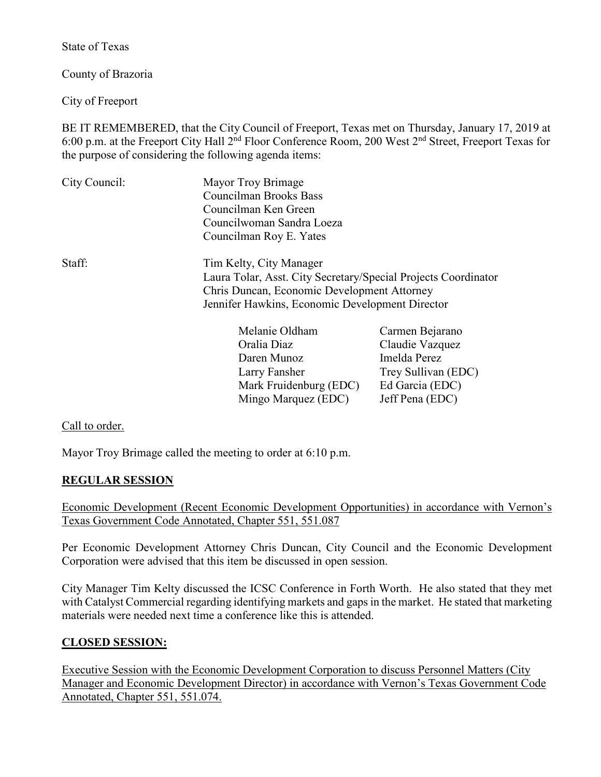State of Texas

County of Brazoria

City of Freeport

BE IT REMEMBERED, that the City Council of Freeport, Texas met on Thursday, January 17, 2019 at 6:00 p.m. at the Freeport City Hall 2nd Floor Conference Room, 200 West 2nd Street, Freeport Texas for the purpose of considering the following agenda items:

| City Council:                                                  | Mayor Troy Brimage                                |                         |  |
|----------------------------------------------------------------|---------------------------------------------------|-------------------------|--|
|                                                                | Councilman Brooks Bass                            |                         |  |
|                                                                | Councilman Ken Green<br>Councilwoman Sandra Loeza |                         |  |
|                                                                |                                                   |                         |  |
|                                                                | Staff:                                            | Tim Kelty, City Manager |  |
| Laura Tolar, Asst. City Secretary/Special Projects Coordinator |                                                   |                         |  |
| Chris Duncan, Economic Development Attorney                    |                                                   |                         |  |
| Jennifer Hawkins, Economic Development Director                |                                                   |                         |  |
| Melanie Oldham                                                 |                                                   | Carmen Bejarano         |  |
| Oralia Diaz                                                    |                                                   | Claudie Vazquez         |  |

| Melanie Oldham         | Carmen Bejarano     |
|------------------------|---------------------|
| Oralia Diaz            | Claudie Vazquez     |
| Daren Munoz            | Imelda Perez        |
| Larry Fansher          | Trey Sullivan (EDC) |
| Mark Fruidenburg (EDC) | Ed Garcia (EDC)     |
| Mingo Marquez (EDC)    | Jeff Pena (EDC)     |

Call to order.

Mayor Troy Brimage called the meeting to order at 6:10 p.m.

## **REGULAR SESSION**

Economic Development (Recent Economic Development Opportunities) in accordance with Vernon's Texas Government Code Annotated, Chapter 551, 551.087

Per Economic Development Attorney Chris Duncan, City Council and the Economic Development Corporation were advised that this item be discussed in open session.

City Manager Tim Kelty discussed the ICSC Conference in Forth Worth. He also stated that they met with Catalyst Commercial regarding identifying markets and gaps in the market. He stated that marketing materials were needed next time a conference like this is attended.

## **CLOSED SESSION:**

Executive Session with the Economic Development Corporation to discuss Personnel Matters (City Manager and Economic Development Director) in accordance with Vernon's Texas Government Code Annotated, Chapter 551, 551.074.